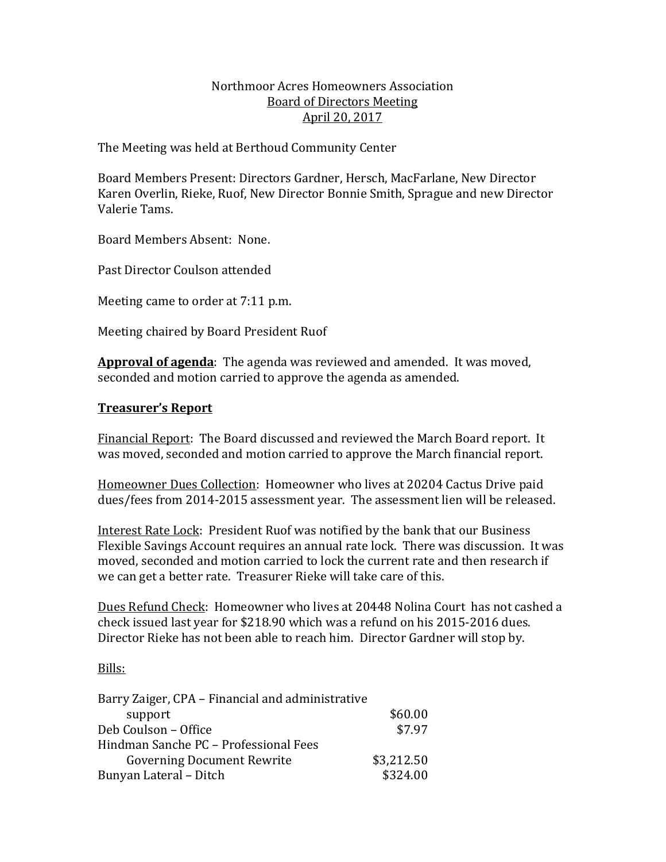# Northmoor Acres Homeowners Association Board of Directors Meeting April 20, 2017

The Meeting was held at Berthoud Community Center

Board Members Present: Directors Gardner, Hersch, MacFarlane, New Director Karen Overlin, Rieke, Ruof, New Director Bonnie Smith, Sprague and new Director Valerie Tams.

Board Members Absent: None.

Past Director Coulson attended

Meeting came to order at 7:11 p.m.

Meeting chaired by Board President Ruof

Approval of agenda: The agenda was reviewed and amended. It was moved, seconded and motion carried to approve the agenda as amended.

## **Treasurer's Report**

Financial Report: The Board discussed and reviewed the March Board report. It was moved, seconded and motion carried to approve the March financial report.

Homeowner Dues Collection: Homeowner who lives at 20204 Cactus Drive paid dues/fees from 2014-2015 assessment year. The assessment lien will be released.

Interest Rate Lock: President Ruof was notified by the bank that our Business Flexible Savings Account requires an annual rate lock. There was discussion. It was moved, seconded and motion carried to lock the current rate and then research if we can get a better rate. Treasurer Rieke will take care of this.

Dues Refund Check: Homeowner who lives at 20448 Nolina Court has not cashed a check issued last year for \$218.90 which was a refund on his 2015-2016 dues. Director Rieke has not been able to reach him. Director Gardner will stop by.

### Bills:

| Barry Zaiger, CPA - Financial and administrative |            |
|--------------------------------------------------|------------|
| support                                          | \$60.00    |
| Deb Coulson - Office                             | \$7.97     |
| Hindman Sanche PC - Professional Fees            |            |
| <b>Governing Document Rewrite</b>                | \$3,212.50 |
| Bunyan Lateral - Ditch                           | \$324.00   |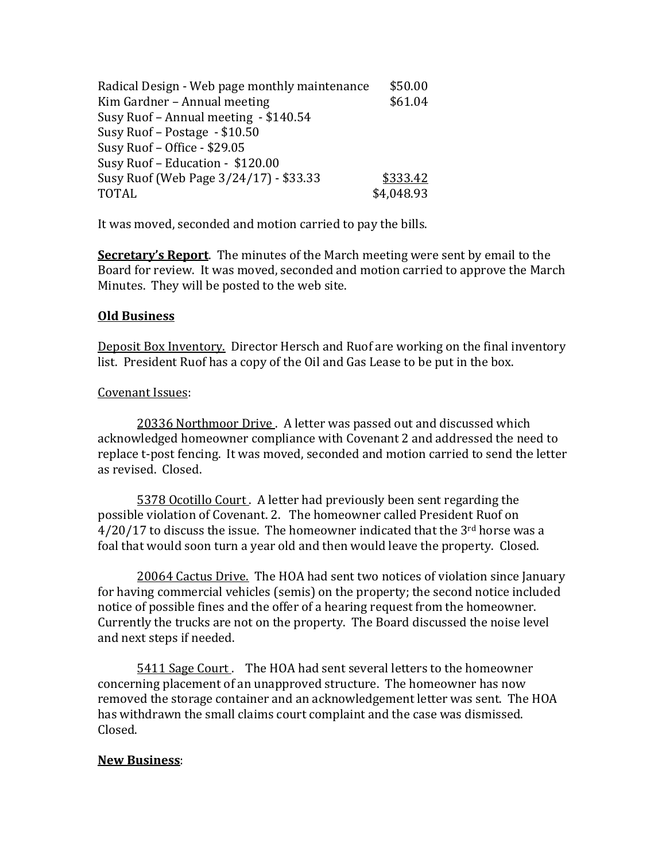| Radical Design - Web page monthly maintenance | \$50.00    |
|-----------------------------------------------|------------|
| Kim Gardner - Annual meeting                  | \$61.04    |
| Susy Ruof - Annual meeting - \$140.54         |            |
| Susy Ruof - Postage - \$10.50                 |            |
| Susy Ruof - Office - \$29.05                  |            |
| Susy Ruof - Education - \$120.00              |            |
| Susy Ruof (Web Page 3/24/17) - \$33.33        | \$333.42   |
| <b>TOTAL</b>                                  | \$4,048.93 |

It was moved, seconded and motion carried to pay the bills.

**Secretary's Report**. The minutes of the March meeting were sent by email to the Board for review. It was moved, seconded and motion carried to approve the March Minutes. They will be posted to the web site.

## **Old Business**

Deposit Box Inventory. Director Hersch and Ruof are working on the final inventory list. President Ruof has a copy of the Oil and Gas Lease to be put in the box.

### Covenant Issues:

20336 Northmoor Drive. A letter was passed out and discussed which acknowledged homeowner compliance with Covenant 2 and addressed the need to replace t-post fencing. It was moved, seconded and motion carried to send the letter as revised. Closed.

5378 Ocotillo Court. A letter had previously been sent regarding the possible violation of Covenant. 2. The homeowner called President Ruof on  $4/20/17$  to discuss the issue. The homeowner indicated that the  $3<sup>rd</sup>$  horse was a foal that would soon turn a year old and then would leave the property. Closed.

20064 Cactus Drive. The HOA had sent two notices of violation since January for having commercial vehicles (semis) on the property; the second notice included notice of possible fines and the offer of a hearing request from the homeowner. Currently the trucks are not on the property. The Board discussed the noise level and next steps if needed.

5411 Sage Court. The HOA had sent several letters to the homeowner concerning placement of an unapproved structure. The homeowner has now removed the storage container and an acknowledgement letter was sent. The HOA has withdrawn the small claims court complaint and the case was dismissed. Closed. 

### **New Business**: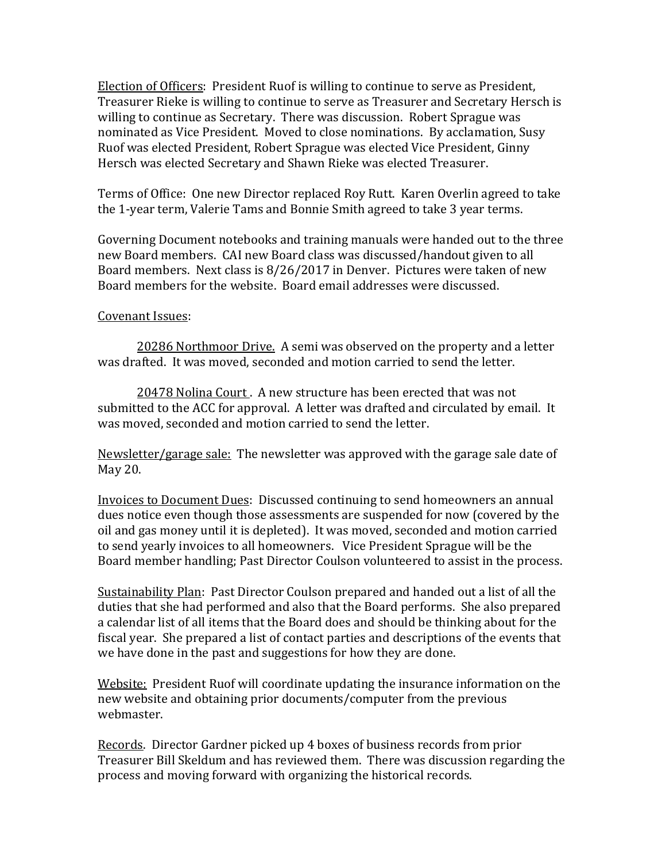Election of Officers: President Ruof is willing to continue to serve as President, Treasurer Rieke is willing to continue to serve as Treasurer and Secretary Hersch is willing to continue as Secretary. There was discussion. Robert Sprague was nominated as Vice President. Moved to close nominations. By acclamation, Susy Ruof was elected President, Robert Sprague was elected Vice President, Ginny Hersch was elected Secretary and Shawn Rieke was elected Treasurer.

Terms of Office: One new Director replaced Roy Rutt. Karen Overlin agreed to take the 1-year term, Valerie Tams and Bonnie Smith agreed to take 3 year terms.

Governing Document notebooks and training manuals were handed out to the three new Board members. CAI new Board class was discussed/handout given to all Board members. Next class is  $8/26/2017$  in Denver. Pictures were taken of new Board members for the website. Board email addresses were discussed.

## Covenant Issues:

20286 Northmoor Drive. A semi was observed on the property and a letter was drafted. It was moved, seconded and motion carried to send the letter.

20478 Nolina Court. A new structure has been erected that was not submitted to the ACC for approval. A letter was drafted and circulated by email. It was moved, seconded and motion carried to send the letter.

Newsletter/garage sale: The newsletter was approved with the garage sale date of May 20.

Invoices to Document Dues: Discussed continuing to send homeowners an annual dues notice even though those assessments are suspended for now (covered by the oil and gas money until it is depleted). It was moved, seconded and motion carried to send yearly invoices to all homeowners. Vice President Sprague will be the Board member handling; Past Director Coulson volunteered to assist in the process.

Sustainability Plan: Past Director Coulson prepared and handed out a list of all the duties that she had performed and also that the Board performs. She also prepared a calendar list of all items that the Board does and should be thinking about for the fiscal year. She prepared a list of contact parties and descriptions of the events that we have done in the past and suggestions for how they are done.

Website: President Ruof will coordinate updating the insurance information on the new website and obtaining prior documents/computer from the previous webmaster. 

Records. Director Gardner picked up 4 boxes of business records from prior Treasurer Bill Skeldum and has reviewed them. There was discussion regarding the process and moving forward with organizing the historical records.